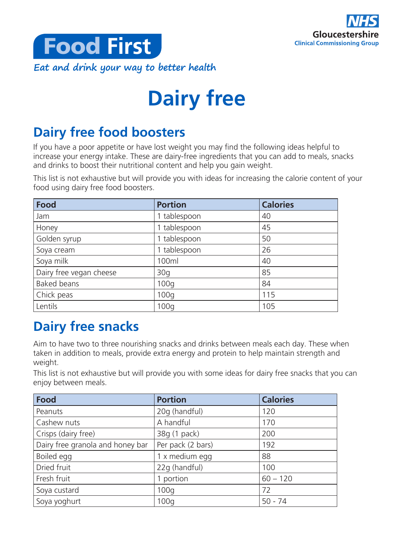



# **Dairy free**

# **Dairy free food boosters**

If you have a poor appetite or have lost weight you may find the following ideas helpful to increase your energy intake. These are dairy-free ingredients that you can add to meals, snacks and drinks to boost their nutritional content and help you gain weight.

This list is not exhaustive but will provide you with ideas for increasing the calorie content of your food using dairy free food boosters.

| <b>Food</b>             | <b>Portion</b> | <b>Calories</b> |
|-------------------------|----------------|-----------------|
| Jam                     | 1 tablespoon   | 40              |
| Honey                   | 1 tablespoon   | 45              |
| Golden syrup            | 1 tablespoon   | 50              |
| Soya cream              | 1 tablespoon   | 26              |
| Soya milk               | 100ml          | 40              |
| Dairy free vegan cheese | 30q            | 85              |
| <b>Baked beans</b>      | 100q           | 84              |
| Chick peas              | 100q           | 115             |
| Lentils                 | 100q           | 105             |

# **Dairy free snacks**

Aim to have two to three nourishing snacks and drinks between meals each day. These when taken in addition to meals, provide extra energy and protein to help maintain strength and weight.

This list is not exhaustive but will provide you with some ideas for dairy free snacks that you can enjoy between meals.

| <b>Food</b>                      | <b>Portion</b>    | <b>Calories</b> |
|----------------------------------|-------------------|-----------------|
| Peanuts                          | 20g (handful)     | 120             |
| Cashew nuts                      | A handful         | 170             |
| Crisps (dairy free)              | 38g (1 pack)      | 200             |
| Dairy free granola and honey bar | Per pack (2 bars) | 192             |
| Boiled egg                       | 1 x medium egg    | 88              |
| Dried fruit                      | 22g (handful)     | 100             |
| Fresh fruit                      | 1 portion         | $60 - 120$      |
| Soya custard                     | 100q              | 72              |
| Soya yoghurt                     | 100q              | $50 - 74$       |